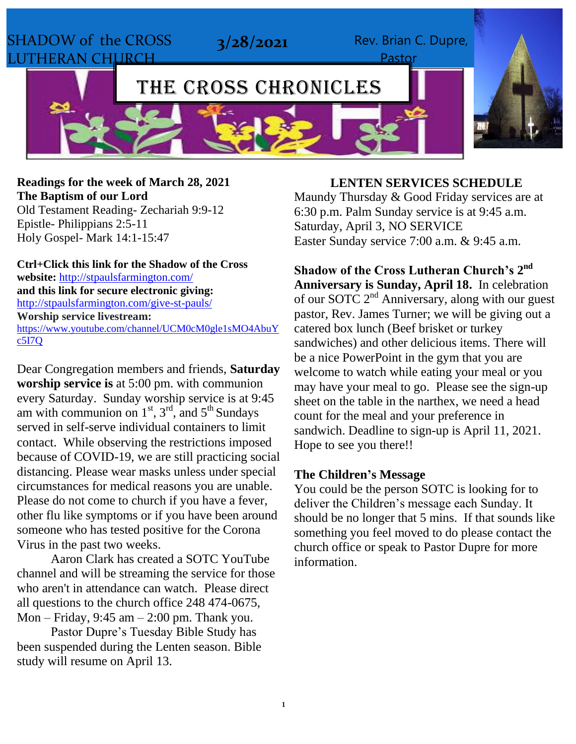SHADOW of the CROSS LUTHERAN CHURCH

# THE CROSS CHRONICLES



**Readings for the week of March 28, 2021 The Baptism of our Lord** Old Testament Reading- Zechariah 9:9-12 Epistle- Philippians 2:5-11

Holy Gospel- Mark 14:1-15:47

**Ctrl+Click this link for the Shadow of the Cross website:** <http://stpaulsfarmington.com/> **and this link for secure electronic giving:** <http://stpaulsfarmington.com/give-st-pauls/> **Worship service livestream:**  [https://www.youtube.com/channel/UCM0cM0gle1sMO4AbuY](https://www.youtube.com/channel/UCM0cM0gle1sMO4AbuYc5I7Q) [c5I7Q](https://www.youtube.com/channel/UCM0cM0gle1sMO4AbuYc5I7Q)

Dear Congregation members and friends, **Saturday worship service is** at 5:00 pm. with communion every Saturday. Sunday worship service is at 9:45 am with communion on  $1<sup>st</sup>$ ,  $3<sup>rd</sup>$ , and  $5<sup>th</sup>$  Sundays served in self-serve individual containers to limit contact. While observing the restrictions imposed because of COVID-19, we are still practicing social distancing. Please wear masks unless under special circumstances for medical reasons you are unable. Please do not come to church if you have a fever, other flu like symptoms or if you have been around someone who has tested positive for the Corona Virus in the past two weeks.

Aaron Clark has created a SOTC YouTube channel and will be streaming the service for those who aren't in attendance can watch. Please direct all questions to the church office 248 474-0675, Mon – Friday, 9:45 am – 2:00 pm. Thank you.

Pastor Dupre's Tuesday Bible Study has been suspended during the Lenten season. Bible study will resume on April 13.

#### **LENTEN SERVICES SCHEDULE**

Pastor

Maundy Thursday & Good Friday services are at 6:30 p.m. Palm Sunday service is at 9:45 a.m. Saturday, April 3, NO SERVICE Easter Sunday service 7:00 a.m. & 9:45 a.m.

**Shadow of the Cross Lutheran Church's 2 nd Anniversary is Sunday, April 18.** In celebration of our SOTC  $2<sup>nd</sup>$  Anniversary, along with our guest pastor, Rev. James Turner; we will be giving out a catered box lunch (Beef brisket or turkey sandwiches) and other delicious items. There will be a nice PowerPoint in the gym that you are welcome to watch while eating your meal or you may have your meal to go. Please see the sign-up sheet on the table in the narthex, we need a head count for the meal and your preference in sandwich. Deadline to sign-up is April 11, 2021. Hope to see you there!!

#### **The Children's Message**

You could be the person SOTC is looking for to deliver the Children's message each Sunday. It should be no longer that 5 mins. If that sounds like something you feel moved to do please contact the church office or speak to Pastor Dupre for more information.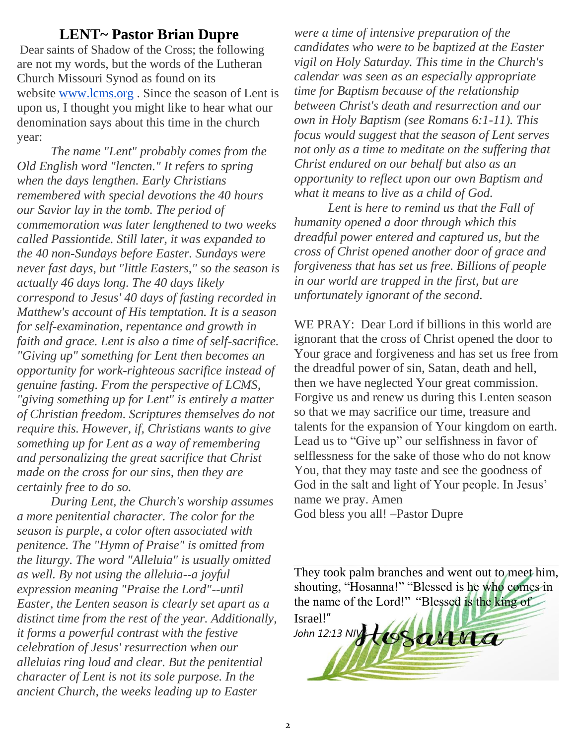#### **LENT~ Pastor Brian Dupre**

Dear saints of Shadow of the Cross; the following are not my words, but the words of the Lutheran Church Missouri Synod as found on its website [www.lcms.org](http://www.lcms.org/) . Since the season of Lent is upon us, I thought you might like to hear what our denomination says about this time in the church year:

*The name "Lent" probably comes from the Old English word "lencten." It refers to spring when the days lengthen. Early Christians remembered with special devotions the 40 hours our Savior lay in the tomb. The period of commemoration was later lengthened to two weeks called Passiontide. Still later, it was expanded to the 40 non-Sundays before Easter. Sundays were never fast days, but "little Easters," so the season is actually 46 days long. The 40 days likely correspond to Jesus' 40 days of fasting recorded in Matthew's account of His temptation. It is a season for self-examination, repentance and growth in faith and grace. Lent is also a time of self-sacrifice. "Giving up" something for Lent then becomes an opportunity for work-righteous sacrifice instead of genuine fasting. From the perspective of LCMS, "giving something up for Lent" is entirely a matter of Christian freedom. Scriptures themselves do not require this. However, if, Christians wants to give something up for Lent as a way of remembering and personalizing the great sacrifice that Christ made on the cross for our sins, then they are certainly free to do so.*

*During Lent, the Church's worship assumes a more penitential character. The color for the season is purple, a color often associated with penitence. The "Hymn of Praise" is omitted from the liturgy. The word "Alleluia" is usually omitted as well. By not using the alleluia--a joyful expression meaning "Praise the Lord"--until Easter, the Lenten season is clearly set apart as a distinct time from the rest of the year. Additionally, it forms a powerful contrast with the festive celebration of Jesus' resurrection when our alleluias ring loud and clear. But the penitential character of Lent is not its sole purpose. In the ancient Church, the weeks leading up to Easter* 

*were a time of intensive preparation of the candidates who were to be baptized at the Easter vigil on Holy Saturday. This time in the Church's calendar was seen as an especially appropriate time for Baptism because of the relationship between Christ's death and resurrection and our own in Holy Baptism (see Romans 6:1-11). This focus would suggest that the season of Lent serves not only as a time to meditate on the suffering that Christ endured on our behalf but also as an opportunity to reflect upon our own Baptism and what it means to live as a child of God.*

*Lent is here to remind us that the Fall of humanity opened a door through which this dreadful power entered and captured us, but the cross of Christ opened another door of grace and forgiveness that has set us free. Billions of people in our world are trapped in the first, but are unfortunately ignorant of the second.*

WE PRAY: Dear Lord if billions in this world are ignorant that the cross of Christ opened the door to Your grace and forgiveness and has set us free from the dreadful power of sin, Satan, death and hell, then we have neglected Your great commission. Forgive us and renew us during this Lenten season so that we may sacrifice our time, treasure and talents for the expansion of Your kingdom on earth. Lead us to "Give up" our selfishness in favor of selflessness for the sake of those who do not know You, that they may taste and see the goodness of God in the salt and light of Your people. In Jesus' name we pray. Amen God bless you all! –Pastor Dupre

They took palm branches and went out to meet him, shouting, "Hosanna!" "Blessed is he who comes in the name of the Lord!" "Blessed is the king of

| Israel!"<br>John 12:13 NIV<br>Sanna |  |
|-------------------------------------|--|
|                                     |  |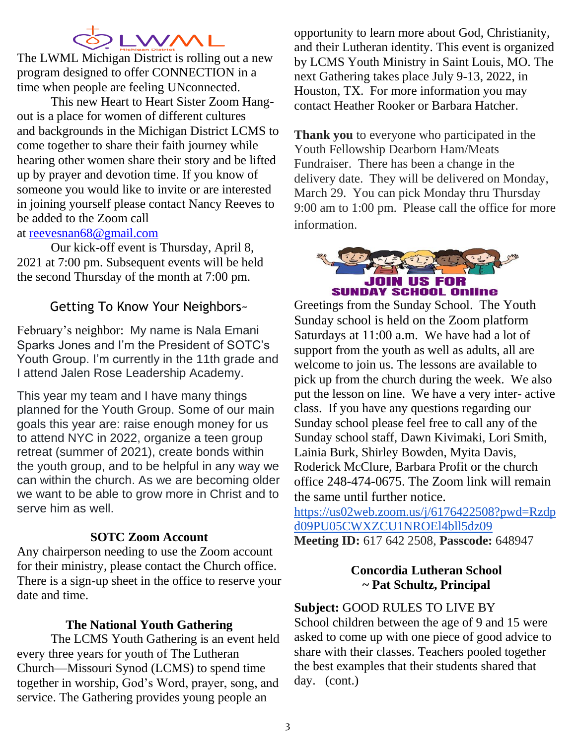### LWML

The LWML Michigan District is rolling out a new program designed to offer CONNECTION in a time when people are feeling UNconnected.

This new Heart to Heart Sister Zoom Hangout is a place for women of different cultures and backgrounds in the Michigan District LCMS to come together to share their faith journey while hearing other women share their story and be lifted up by prayer and devotion time. If you know of someone you would like to invite or are interested in joining yourself please contact Nancy Reeves to be added to the Zoom call at [reevesnan68@gmail.com](mailto:reevesnan68@gmail.com)

Our kick-off event is Thursday, April 8, 2021 at 7:00 pm. Subsequent events will be held the second Thursday of the month at 7:00 pm.

#### Getting To Know Your Neighbors~

February's neighbor: My name is Nala Emani Sparks Jones and I'm the President of SOTC's Youth Group. I'm currently in the 11th grade and I attend Jalen Rose Leadership Academy.

This year my team and I have many things planned for the Youth Group. Some of our main goals this year are: raise enough money for us to attend NYC in 2022, organize a teen group retreat (summer of 2021), create bonds within the youth group, and to be helpful in any way we can within the church. As we are becoming older we want to be able to grow more in Christ and to serve him as well.

#### **SOTC Zoom Account**

Any chairperson needing to use the Zoom account for their ministry, please contact the Church office. There is a sign-up sheet in the office to reserve your date and time.

#### **The National Youth Gathering**

The LCMS Youth Gathering is an event held every three years for youth of The Lutheran Church—Missouri Synod (LCMS) to spend time together in worship, God's Word, prayer, song, and service. The Gathering provides young people an

opportunity to learn more about God, Christianity, and their Lutheran identity. This event is organized by LCMS Youth Ministry in Saint Louis, MO. The next Gathering takes place July 9-13, 2022, in Houston, TX. For more information you may contact Heather Rooker or Barbara Hatcher.

**Thank you** to everyone who participated in the Youth Fellowship Dearborn Ham/Meats Fundraiser. There has been a change in the delivery date. They will be delivered on Monday, March 29. You can pick Monday thru Thursday 9:00 am to 1:00 pm. Please call the office for more information.



Greetings from the Sunday School. The Youth Sunday school is held on the Zoom platform Saturdays at 11:00 a.m. We have had a lot of support from the youth as well as adults, all are welcome to join us. The lessons are available to pick up from the church during the week. We also put the lesson on line. We have a very inter- active class. If you have any questions regarding our Sunday school please feel free to call any of the Sunday school staff, Dawn Kivimaki, Lori Smith, Lainia Burk, Shirley Bowden, Myita Davis, Roderick McClure, Barbara Profit or the church office 248-474-0675. The Zoom link will remain the same until further notice.

[https://us02web.zoom.us/j/6176422508?pwd=Rzdp](https://us02web.zoom.us/j/6176422508?pwd=Rzdpd09PU05CWXZCU1NROEl4bll5dz09) [d09PU05CWXZCU1NROEl4bll5dz09](https://us02web.zoom.us/j/6176422508?pwd=Rzdpd09PU05CWXZCU1NROEl4bll5dz09) **Meeting ID:** 617 642 2508, **Passcode:** 648947

#### **Concordia Lutheran School ~ Pat Schultz, Principal**

#### **Subject:** GOOD RULES TO LIVE BY

School children between the age of 9 and 15 were asked to come up with one piece of good advice to share with their classes. Teachers pooled together the best examples that their students shared that day. (cont.)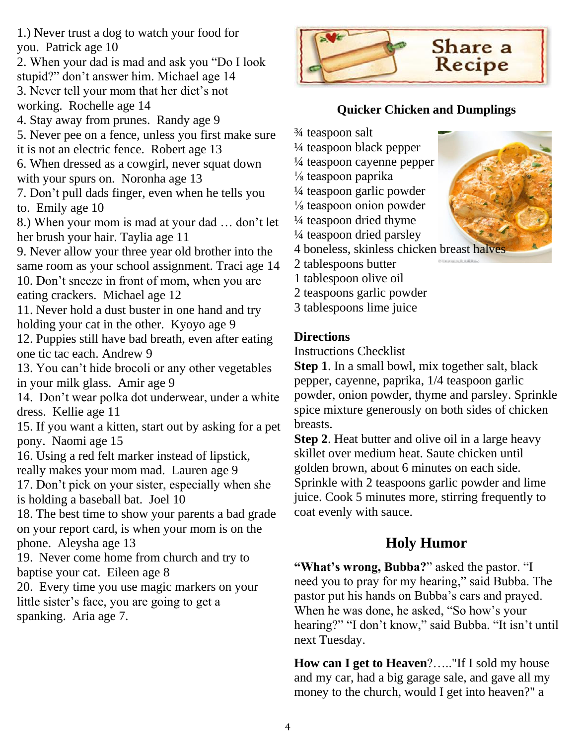1.) Never trust a dog to watch your food for you. Patrick age 10

2. When your dad is mad and ask you "Do I look stupid?" don't answer him. Michael age 14 3. Never tell your mom that her diet's not working. Rochelle age 14

4. Stay away from prunes. Randy age 9

5. Never pee on a fence, unless you first make sure it is not an electric fence. Robert age 13

6. When dressed as a cowgirl, never squat down with your spurs on. Noronha age 13

7. Don't pull dads finger, even when he tells you to. Emily age 10

8.) When your mom is mad at your dad … don't let her brush your hair. Taylia age 11

9. Never allow your three year old brother into the same room as your school assignment. Traci age 14 10. Don't sneeze in front of mom, when you are eating crackers. Michael age 12

11. Never hold a dust buster in one hand and try holding your cat in the other. Kyoyo age 9

12. Puppies still have bad breath, even after eating one tic tac each. Andrew 9

13. You can't hide brocoli or any other vegetables in your milk glass. Amir age 9

14. Don't wear polka dot underwear, under a white dress. Kellie age 11

15. If you want a kitten, start out by asking for a pet pony. Naomi age 15

16. Using a red felt marker instead of lipstick, really makes your mom mad. Lauren age 9

17. Don't pick on your sister, especially when she is holding a baseball bat. Joel 10

18. The best time to show your parents a bad grade on your report card, is when your mom is on the phone. Aleysha age 13

19. Never come home from church and try to baptise your cat. Eileen age 8

20. Every time you use magic markers on your little sister's face, you are going to get a spanking. Aria age 7.



#### **Quicker Chicken and Dumplings**

¾ teaspoon salt

¼ teaspoon black pepper

¼ teaspoon cayenne pepper

⅛ teaspoon paprika

- ¼ teaspoon garlic powder
- ⅛ teaspoon onion powder
- ¼ teaspoon dried thyme
- ¼ teaspoon dried parsley
- 4 boneless, skinless chicken breast halves
- 2 tablespoons butter
- 1 tablespoon olive oil
- 2 teaspoons garlic powder
- 3 tablespoons lime juice

#### **Directions**

Instructions Checklist

**Step 1**. In a small bowl, mix together salt, black pepper, cayenne, paprika, 1/4 teaspoon garlic powder, onion powder, thyme and parsley. Sprinkle spice mixture generously on both sides of chicken breasts.

**Step 2**. Heat butter and olive oil in a large heavy skillet over medium heat. Saute chicken until golden brown, about 6 minutes on each side. Sprinkle with 2 teaspoons garlic powder and lime juice. Cook 5 minutes more, stirring frequently to coat evenly with sauce.

#### **Holy Humor**

**"What's wrong, Bubba?**" asked the pastor. "I need you to pray for my hearing," said Bubba. The pastor put his hands on Bubba's ears and prayed. When he was done, he asked, "So how's your hearing?" "I don't know," said Bubba. "It isn't until next Tuesday.

**How can I get to Heaven**?….."If I sold my house and my car, had a big garage sale, and gave all my money to the church, would I get into heaven?" a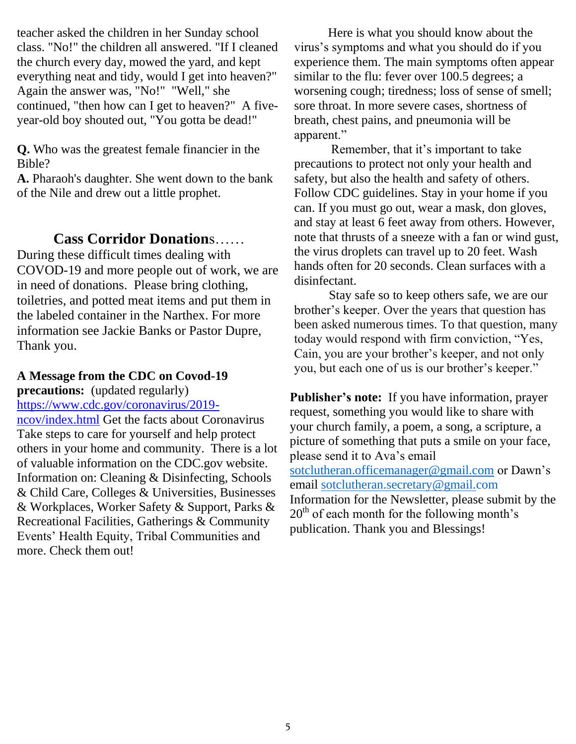teacher asked the children in her Sunday school class. "No!" the children all answered. "If I cleaned the church every day, mowed the yard, and kept everything neat and tidy, would I get into heaven?" Again the answer was, "No!" "Well," she continued, "then how can I get to heaven?" A fiveyear-old boy shouted out, "You gotta be dead!"

**Q.** Who was the greatest female financier in the Bible?

**A.** Pharaoh's daughter. She went down to the bank of the Nile and drew out a little prophet.

#### **Cass Corridor Donation**s……

During these difficult times dealing with COVOD-19 and more people out of work, we are in need of donations. Please bring clothing, toiletries, and potted meat items and put them in the labeled container in the Narthex. For more information see Jackie Banks or Pastor Dupre, Thank you.

#### **A Message from the CDC on Covod-19 precautions:** (updated regularly)

[https://www.cdc.gov/coronavirus/2019](https://www.cdc.gov/coronavirus/2019-ncov/index.html) [ncov/index.html](https://www.cdc.gov/coronavirus/2019-ncov/index.html) Get the facts about Coronavirus Take steps to care for yourself and help protect others in your home and community. There is a lot of valuable information on the CDC.gov website. Information on: Cleaning & Disinfecting, Schools & Child Care, Colleges & Universities, Businesses & Workplaces, Worker Safety & Support, Parks & Recreational Facilities, Gatherings & Community Events' Health Equity, Tribal Communities and more. Check them out!

Here is what you should know about the virus's symptoms and what you should do if you experience them. The main symptoms often appear similar to the flu: fever over 100.5 degrees; a worsening cough; tiredness; loss of sense of smell; sore throat. In more severe cases, shortness of breath, chest pains, and pneumonia will be apparent."

Remember, that it's important to take precautions to protect not only your health and safety, but also the health and safety of others. Follow CDC guidelines. Stay in your home if you can. If you must go out, wear a mask, don gloves, and stay at least 6 feet away from others. However, note that thrusts of a sneeze with a fan or wind gust, the virus droplets can travel up to 20 feet. Wash hands often for 20 seconds. Clean surfaces with a disinfectant.

 Stay safe so to keep others safe, we are our brother's keeper. Over the years that question has been asked numerous times. To that question, many today would respond with firm conviction, "Yes, Cain, you are your brother's keeper, and not only you, but each one of us is our brother's keeper."

**Publisher's note:** If you have information, prayer request, something you would like to share with your church family, a poem, a song, a scripture, a picture of something that puts a smile on your face, please send it to Ava's email [sotclutheran.officemanager@gmail.com](mailto:sotclutheran.officemanager@gmail.com) or Dawn's email [sotclutheran.secretary@gmail.com](mailto:sotclutheran.secretary@gmail.com) Information for the Newsletter, please submit by the  $20<sup>th</sup>$  of each month for the following month's publication. Thank you and Blessings!